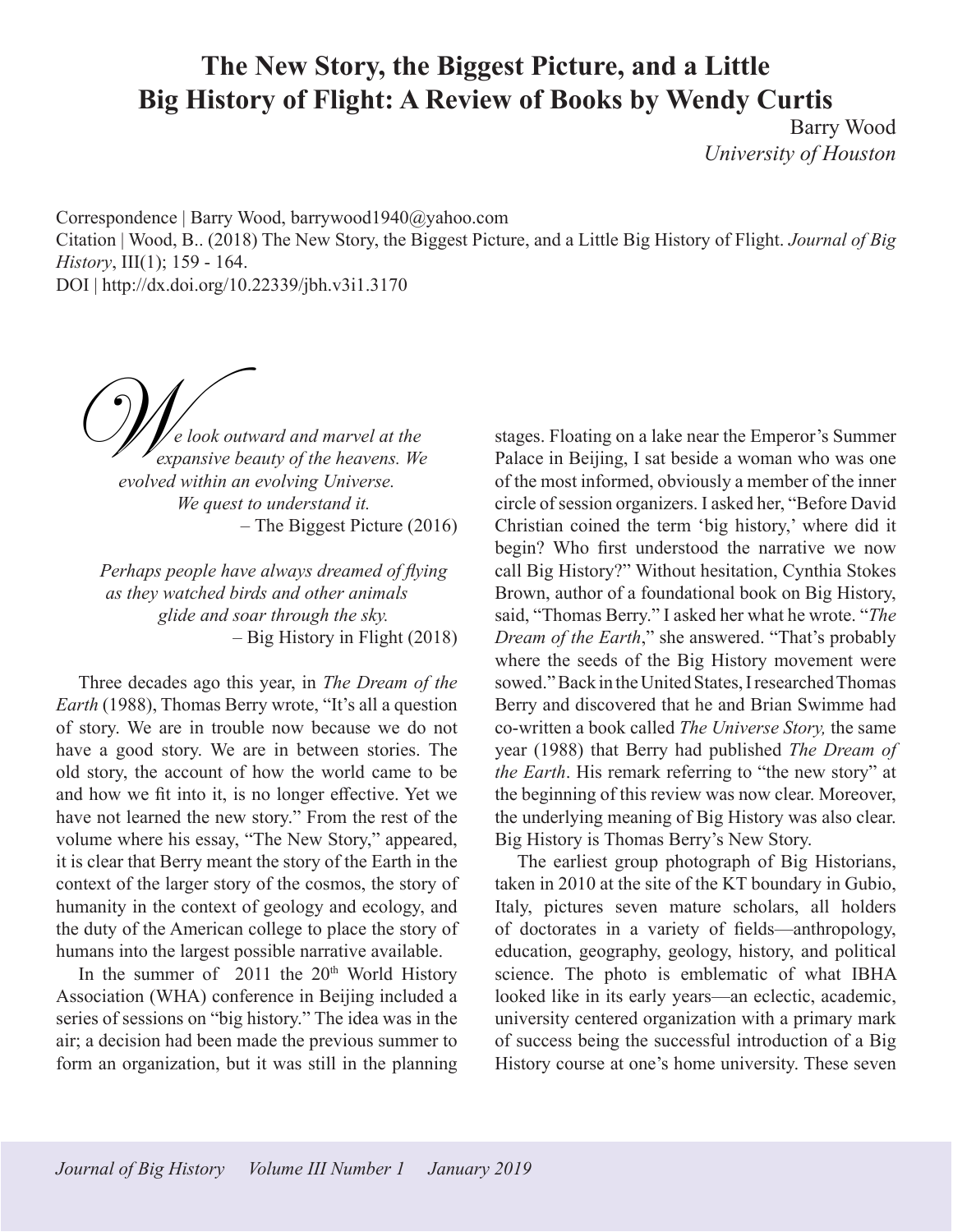## **The New Story, the Biggest Picture, and a Little Big History of Flight: A Review of Books by Wendy Curtis**

Barry Wood *University of Houston*

Correspondence | Barry Wood, barrywood1940@yahoo.com Citation | Wood, B.. (2018) The New Story, the Biggest Picture, and a Little Big History of Flight. *Journal of Big History*, III(1); 159 - 164. DOI | http://dx.doi.org/10.22339/jbh.v3i1.3170

*e look outward and marvel at the expansive beauty of the heavens. We evolved within an evolving Universe. We quest to understand it. –* The Biggest Picture (2016)  $\mathcal{O}_{\ell_{\infty}}$ 

*Perhaps people have always dreamed of flying as they watched birds and other animals glide and soar through the sky. –* Big History in Flight (2018)

Three decades ago this year, in *The Dream of the Earth* (1988), Thomas Berry wrote, "It's all a question of story. We are in trouble now because we do not have a good story. We are in between stories. The old story, the account of how the world came to be and how we fit into it, is no longer effective. Yet we have not learned the new story." From the rest of the volume where his essay, "The New Story," appeared, it is clear that Berry meant the story of the Earth in the context of the larger story of the cosmos, the story of humanity in the context of geology and ecology, and the duty of the American college to place the story of humans into the largest possible narrative available.

In the summer of  $2011$  the  $20<sup>th</sup>$  World History Association (WHA) conference in Beijing included a series of sessions on "big history." The idea was in the air; a decision had been made the previous summer to form an organization, but it was still in the planning

stages. Floating on a lake near the Emperor's Summer Palace in Beijing, I sat beside a woman who was one of the most informed, obviously a member of the inner circle of session organizers. I asked her, "Before David Christian coined the term 'big history,' where did it begin? Who first understood the narrative we now call Big History?" Without hesitation, Cynthia Stokes Brown, author of a foundational book on Big History, said, "Thomas Berry." I asked her what he wrote. "*The Dream of the Earth*," she answered. "That's probably where the seeds of the Big History movement were sowed." Back in the United States, I researched Thomas Berry and discovered that he and Brian Swimme had co-written a book called *The Universe Story,* the same year (1988) that Berry had published *The Dream of the Earth*. His remark referring to "the new story" at the beginning of this review was now clear. Moreover, the underlying meaning of Big History was also clear. Big History is Thomas Berry's New Story.

The earliest group photograph of Big Historians, taken in 2010 at the site of the KT boundary in Gubio, Italy, pictures seven mature scholars, all holders of doctorates in a variety of fields—anthropology, education, geography, geology, history, and political science. The photo is emblematic of what IBHA looked like in its early years—an eclectic, academic, university centered organization with a primary mark of success being the successful introduction of a Big History course at one's home university. These seven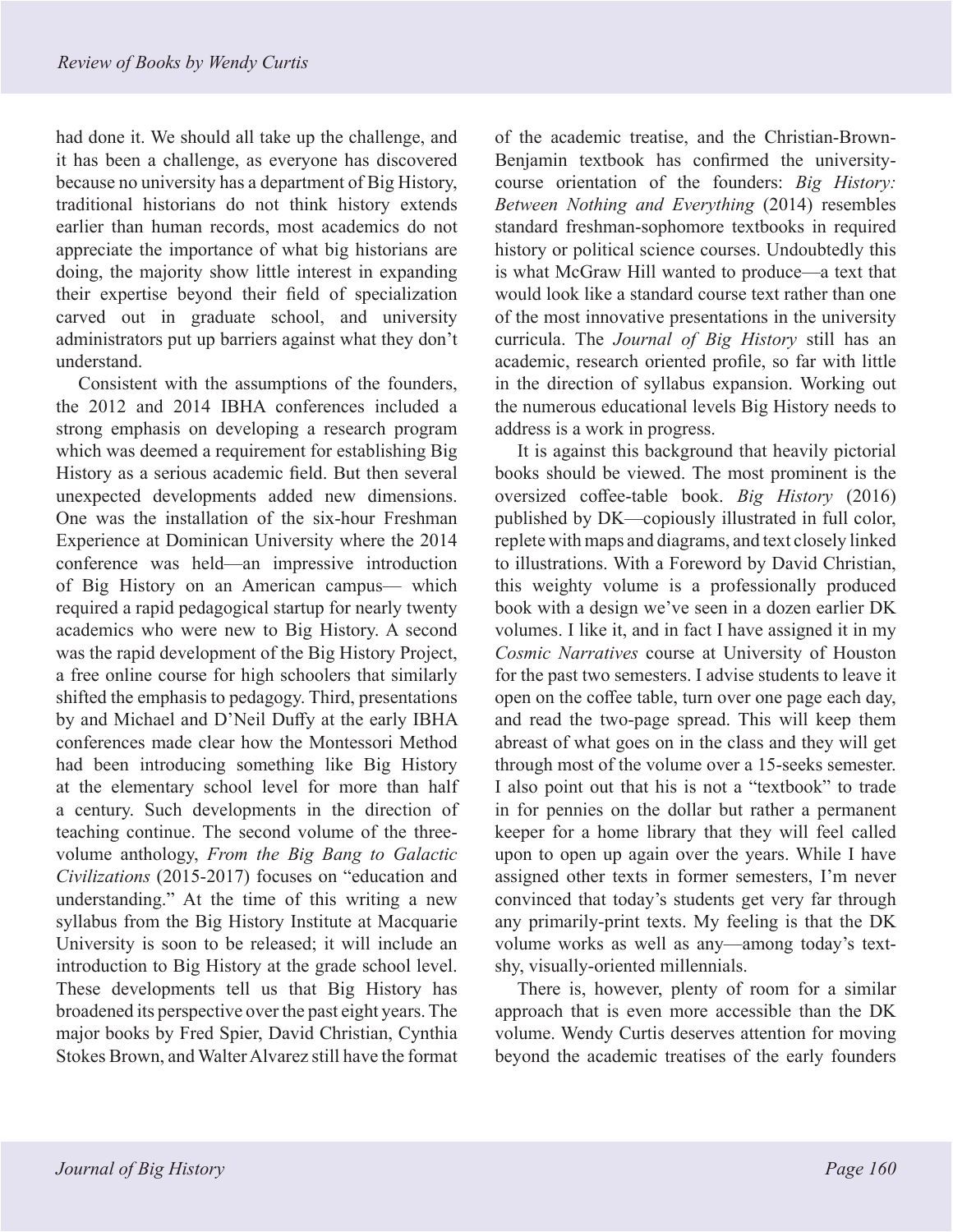had done it. We should all take up the challenge, and it has been a challenge, as everyone has discovered because no university has a department of Big History, traditional historians do not think history extends earlier than human records, most academics do not appreciate the importance of what big historians are doing, the majority show little interest in expanding their expertise beyond their field of specialization carved out in graduate school, and university administrators put up barriers against what they don't understand.

Consistent with the assumptions of the founders, the 2012 and 2014 IBHA conferences included a strong emphasis on developing a research program which was deemed a requirement for establishing Big History as a serious academic field. But then several unexpected developments added new dimensions. One was the installation of the six-hour Freshman Experience at Dominican University where the 2014 conference was held—an impressive introduction of Big History on an American campus— which required a rapid pedagogical startup for nearly twenty academics who were new to Big History. A second was the rapid development of the Big History Project, a free online course for high schoolers that similarly shifted the emphasis to pedagogy. Third, presentations by and Michael and D'Neil Duffy at the early IBHA conferences made clear how the Montessori Method had been introducing something like Big History at the elementary school level for more than half a century. Such developments in the direction of teaching continue. The second volume of the threevolume anthology, *From the Big Bang to Galactic Civilizations* (2015-2017) focuses on "education and understanding." At the time of this writing a new syllabus from the Big History Institute at Macquarie University is soon to be released; it will include an introduction to Big History at the grade school level. These developments tell us that Big History has broadened its perspective over the past eight years. The major books by Fred Spier, David Christian, Cynthia Stokes Brown, and Walter Alvarez still have the format of the academic treatise, and the Christian-Brown-Benjamin textbook has confirmed the universitycourse orientation of the founders: *Big History: Between Nothing and Everything* (2014) resembles standard freshman-sophomore textbooks in required history or political science courses. Undoubtedly this is what McGraw Hill wanted to produce—a text that would look like a standard course text rather than one of the most innovative presentations in the university curricula. The *Journal of Big History* still has an academic, research oriented profile, so far with little in the direction of syllabus expansion. Working out the numerous educational levels Big History needs to address is a work in progress.

It is against this background that heavily pictorial books should be viewed. The most prominent is the oversized coffee-table book. *Big History* (2016) published by DK—copiously illustrated in full color, replete with maps and diagrams, and text closely linked to illustrations. With a Foreword by David Christian, this weighty volume is a professionally produced book with a design we've seen in a dozen earlier DK volumes. I like it, and in fact I have assigned it in my *Cosmic Narratives* course at University of Houston for the past two semesters. I advise students to leave it open on the coffee table, turn over one page each day, and read the two-page spread. This will keep them abreast of what goes on in the class and they will get through most of the volume over a 15-seeks semester. I also point out that his is not a "textbook" to trade in for pennies on the dollar but rather a permanent keeper for a home library that they will feel called upon to open up again over the years. While I have assigned other texts in former semesters, I'm never convinced that today's students get very far through any primarily-print texts. My feeling is that the DK volume works as well as any—among today's textshy, visually-oriented millennials.

There is, however, plenty of room for a similar approach that is even more accessible than the DK volume. Wendy Curtis deserves attention for moving beyond the academic treatises of the early founders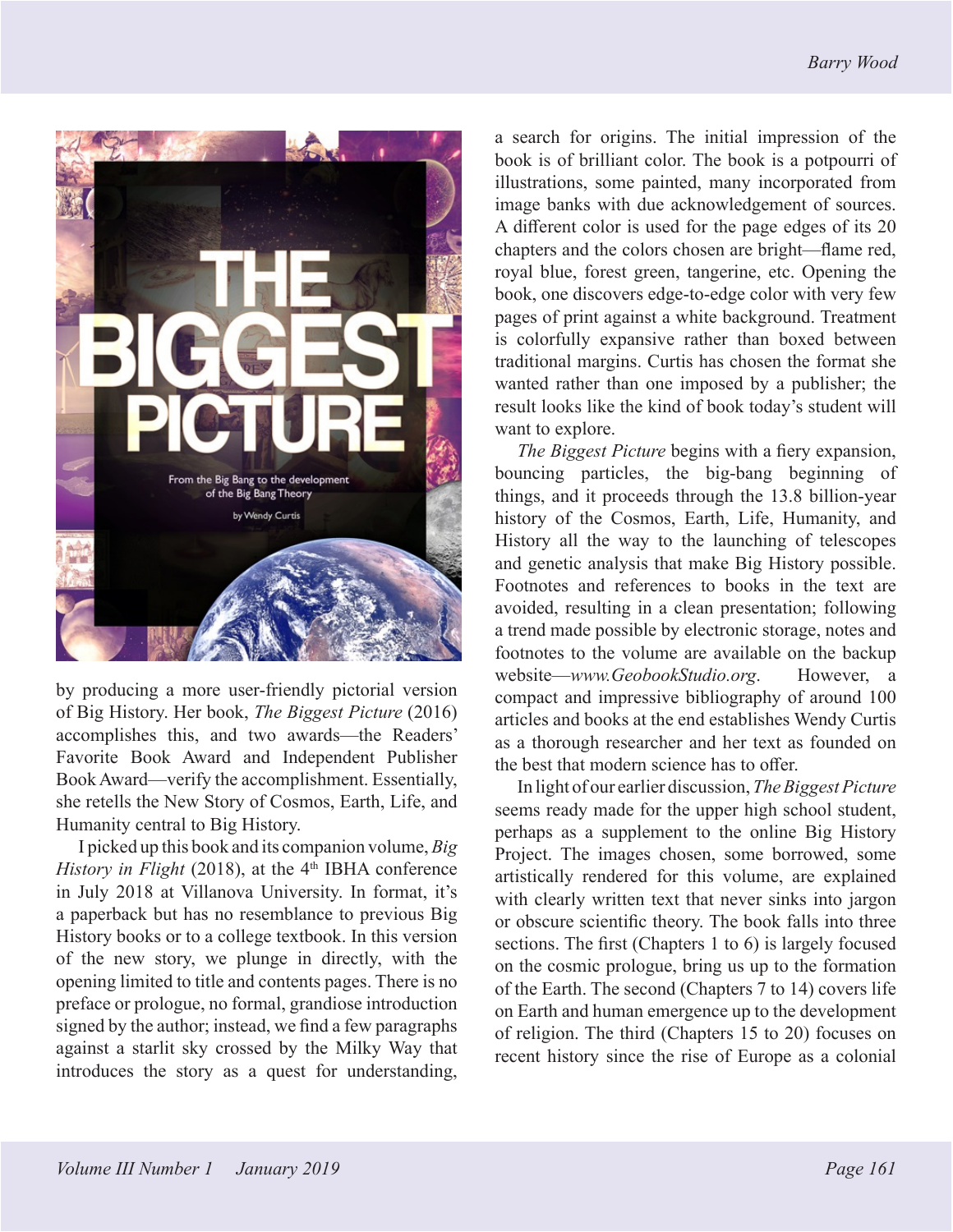

by producing a more user-friendly pictorial version of Big History. Her book, *The Biggest Picture* (2016) accomplishes this, and two awards—the Readers' Favorite Book Award and Independent Publisher Book Award—verify the accomplishment. Essentially, she retells the New Story of Cosmos, Earth, Life, and Humanity central to Big History.

I picked up this book and its companion volume, *Big History in Flight* (2018), at the  $4<sup>th</sup>$  IBHA conference in July 2018 at Villanova University. In format, it's a paperback but has no resemblance to previous Big History books or to a college textbook. In this version of the new story, we plunge in directly, with the opening limited to title and contents pages. There is no preface or prologue, no formal, grandiose introduction signed by the author; instead, we find a few paragraphs against a starlit sky crossed by the Milky Way that introduces the story as a quest for understanding,

a search for origins. The initial impression of the book is of brilliant color. The book is a potpourri of illustrations, some painted, many incorporated from image banks with due acknowledgement of sources. A different color is used for the page edges of its 20 chapters and the colors chosen are bright—flame red, royal blue, forest green, tangerine, etc. Opening the book, one discovers edge-to-edge color with very few pages of print against a white background. Treatment is colorfully expansive rather than boxed between traditional margins. Curtis has chosen the format she wanted rather than one imposed by a publisher; the result looks like the kind of book today's student will want to explore.

*The Biggest Picture* begins with a fiery expansion, bouncing particles, the big-bang beginning of things, and it proceeds through the 13.8 billion-year history of the Cosmos, Earth, Life, Humanity, and History all the way to the launching of telescopes and genetic analysis that make Big History possible. Footnotes and references to books in the text are avoided, resulting in a clean presentation; following a trend made possible by electronic storage, notes and footnotes to the volume are available on the backup website—*www.GeobookStudio.org*. However, a compact and impressive bibliography of around 100 articles and books at the end establishes Wendy Curtis as a thorough researcher and her text as founded on the best that modern science has to offer.

In light of our earlier discussion, *The Biggest Picture* seems ready made for the upper high school student, perhaps as a supplement to the online Big History Project. The images chosen, some borrowed, some artistically rendered for this volume, are explained with clearly written text that never sinks into jargon or obscure scientific theory. The book falls into three sections. The first (Chapters 1 to 6) is largely focused on the cosmic prologue, bring us up to the formation of the Earth. The second (Chapters 7 to 14) covers life on Earth and human emergence up to the development of religion. The third (Chapters 15 to 20) focuses on recent history since the rise of Europe as a colonial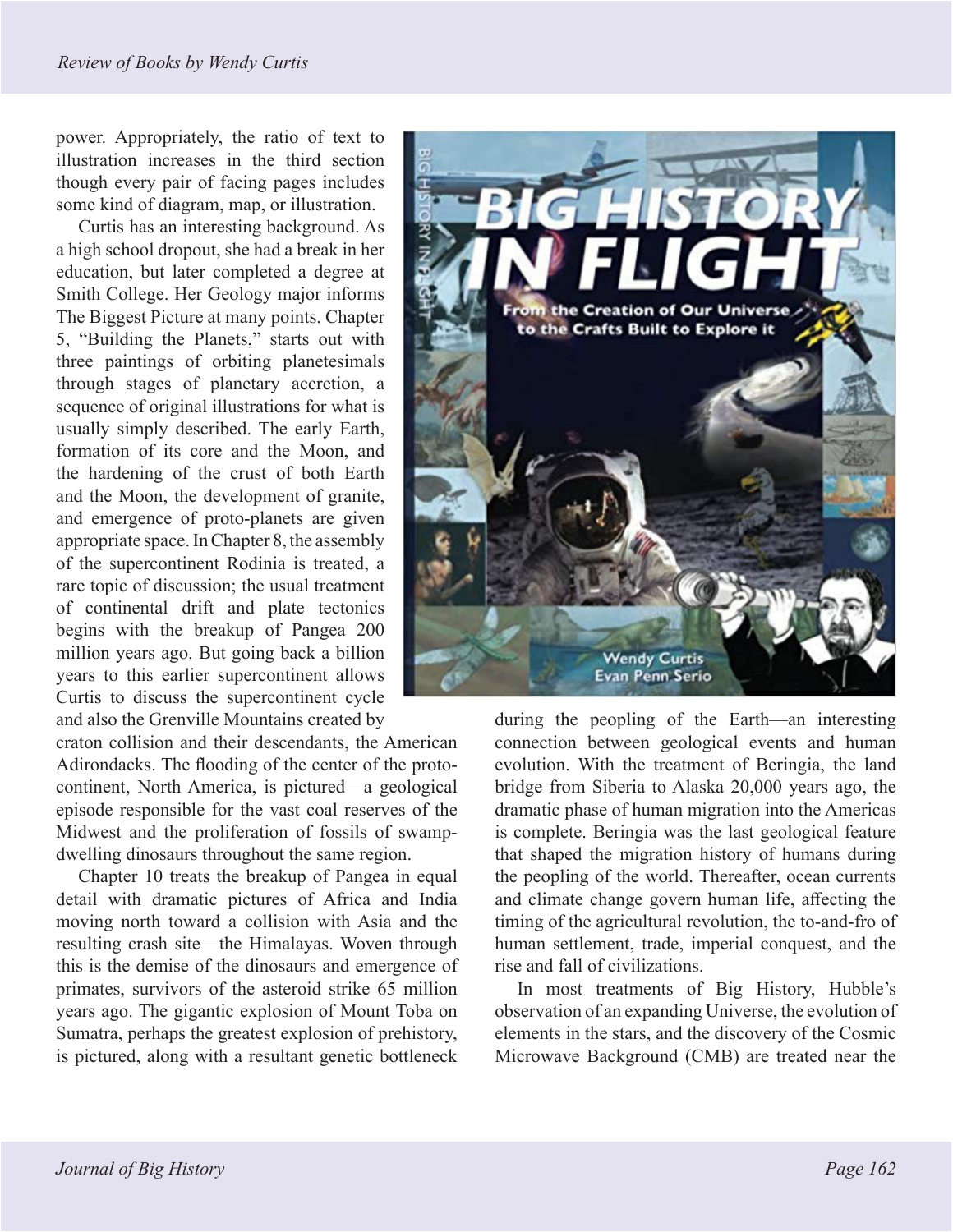power. Appropriately, the ratio of text to illustration increases in the third section though every pair of facing pages includes some kind of diagram, map, or illustration.

Curtis has an interesting background. As a high school dropout, she had a break in her education, but later completed a degree at Smith College. Her Geology major informs The Biggest Picture at many points. Chapter 5, "Building the Planets," starts out with three paintings of orbiting planetesimals through stages of planetary accretion, a sequence of original illustrations for what is usually simply described. The early Earth, formation of its core and the Moon, and the hardening of the crust of both Earth and the Moon, the development of granite, and emergence of proto-planets are given appropriate space. In Chapter 8, the assembly of the supercontinent Rodinia is treated, a rare topic of discussion; the usual treatment of continental drift and plate tectonics begins with the breakup of Pangea 200 million years ago. But going back a billion years to this earlier supercontinent allows Curtis to discuss the supercontinent cycle and also the Grenville Mountains created by

craton collision and their descendants, the American Adirondacks. The flooding of the center of the protocontinent, North America, is pictured—a geological episode responsible for the vast coal reserves of the Midwest and the proliferation of fossils of swampdwelling dinosaurs throughout the same region.

Chapter 10 treats the breakup of Pangea in equal detail with dramatic pictures of Africa and India moving north toward a collision with Asia and the resulting crash site—the Himalayas. Woven through this is the demise of the dinosaurs and emergence of primates, survivors of the asteroid strike 65 million years ago. The gigantic explosion of Mount Toba on Sumatra, perhaps the greatest explosion of prehistory, is pictured, along with a resultant genetic bottleneck



during the peopling of the Earth—an interesting connection between geological events and human evolution. With the treatment of Beringia, the land bridge from Siberia to Alaska 20,000 years ago, the dramatic phase of human migration into the Americas is complete. Beringia was the last geological feature that shaped the migration history of humans during the peopling of the world. Thereafter, ocean currents and climate change govern human life, affecting the timing of the agricultural revolution, the to-and-fro of human settlement, trade, imperial conquest, and the rise and fall of civilizations.

In most treatments of Big History, Hubble's observation of an expanding Universe, the evolution of elements in the stars, and the discovery of the Cosmic Microwave Background (CMB) are treated near the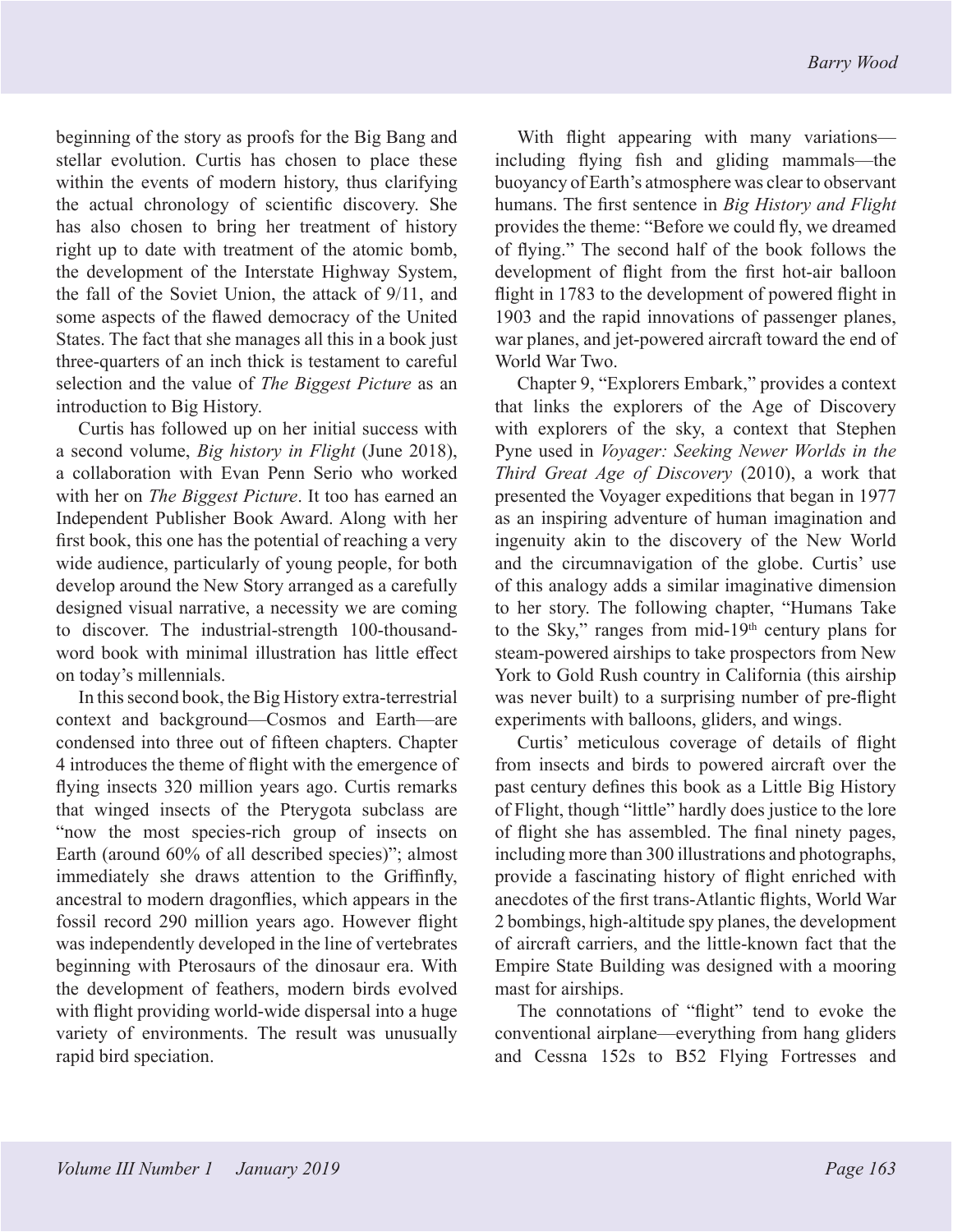beginning of the story as proofs for the Big Bang and stellar evolution. Curtis has chosen to place these within the events of modern history, thus clarifying the actual chronology of scientific discovery. She has also chosen to bring her treatment of history right up to date with treatment of the atomic bomb, the development of the Interstate Highway System, the fall of the Soviet Union, the attack of 9/11, and some aspects of the flawed democracy of the United States. The fact that she manages all this in a book just three-quarters of an inch thick is testament to careful selection and the value of *The Biggest Picture* as an introduction to Big History.

Curtis has followed up on her initial success with a second volume, *Big history in Flight* (June 2018), a collaboration with Evan Penn Serio who worked with her on *The Biggest Picture*. It too has earned an Independent Publisher Book Award. Along with her first book, this one has the potential of reaching a very wide audience, particularly of young people, for both develop around the New Story arranged as a carefully designed visual narrative, a necessity we are coming to discover. The industrial-strength 100-thousandword book with minimal illustration has little effect on today's millennials.

In this second book, the Big History extra-terrestrial context and background—Cosmos and Earth—are condensed into three out of fifteen chapters. Chapter 4 introduces the theme of flight with the emergence of flying insects 320 million years ago. Curtis remarks that winged insects of the Pterygota subclass are "now the most species-rich group of insects on Earth (around 60% of all described species)"; almost immediately she draws attention to the Griffinfly, ancestral to modern dragonflies, which appears in the fossil record 290 million years ago. However flight was independently developed in the line of vertebrates beginning with Pterosaurs of the dinosaur era. With the development of feathers, modern birds evolved with flight providing world-wide dispersal into a huge variety of environments. The result was unusually rapid bird speciation.

With flight appearing with many variations including flying fish and gliding mammals—the buoyancy of Earth's atmosphere was clear to observant humans. The first sentence in *Big History and Flight*  provides the theme: "Before we could fly, we dreamed of flying." The second half of the book follows the development of flight from the first hot-air balloon flight in 1783 to the development of powered flight in 1903 and the rapid innovations of passenger planes, war planes, and jet-powered aircraft toward the end of World War Two.

Chapter 9, "Explorers Embark," provides a context that links the explorers of the Age of Discovery with explorers of the sky, a context that Stephen Pyne used in *Voyager: Seeking Newer Worlds in the Third Great Age of Discovery* (2010), a work that presented the Voyager expeditions that began in 1977 as an inspiring adventure of human imagination and ingenuity akin to the discovery of the New World and the circumnavigation of the globe. Curtis' use of this analogy adds a similar imaginative dimension to her story. The following chapter, "Humans Take to the Sky," ranges from mid-19<sup>th</sup> century plans for steam-powered airships to take prospectors from New York to Gold Rush country in California (this airship was never built) to a surprising number of pre-flight experiments with balloons, gliders, and wings.

Curtis' meticulous coverage of details of flight from insects and birds to powered aircraft over the past century defines this book as a Little Big History of Flight, though "little" hardly does justice to the lore of flight she has assembled. The final ninety pages, including more than 300 illustrations and photographs, provide a fascinating history of flight enriched with anecdotes of the first trans-Atlantic flights, World War 2 bombings, high-altitude spy planes, the development of aircraft carriers, and the little-known fact that the Empire State Building was designed with a mooring mast for airships.

The connotations of "flight" tend to evoke the conventional airplane—everything from hang gliders and Cessna 152s to B52 Flying Fortresses and